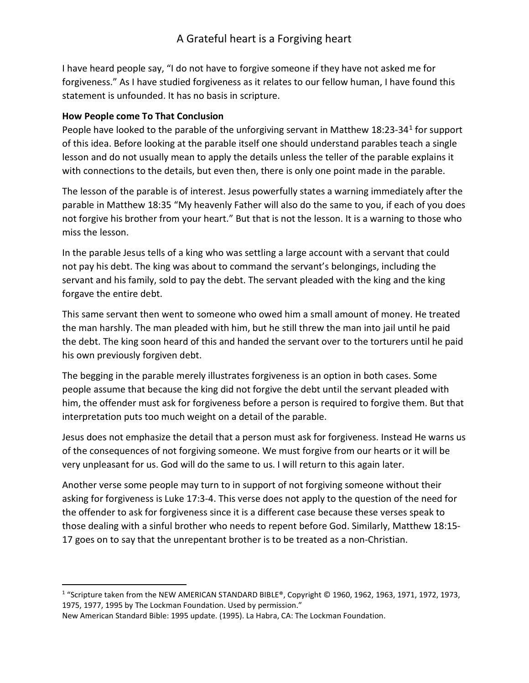I have heard people say, "I do not have to forgive someone if they have not asked me for forgiveness." As I have studied forgiveness as it relates to our fellow human, I have found this statement is unfounded. It has no basis in scripture.

### How People come To That Conclusion

People have looked to the parable of the unforgiving servant in Matthew 18:23-34<sup>1</sup> for support of this idea. Before looking at the parable itself one should understand parables teach a single lesson and do not usually mean to apply the details unless the teller of the parable explains it with connections to the details, but even then, there is only one point made in the parable.

The lesson of the parable is of interest. Jesus powerfully states a warning immediately after the parable in Matthew 18:35 "My heavenly Father will also do the same to you, if each of you does not forgive his brother from your heart." But that is not the lesson. It is a warning to those who miss the lesson.

In the parable Jesus tells of a king who was settling a large account with a servant that could not pay his debt. The king was about to command the servant's belongings, including the servant and his family, sold to pay the debt. The servant pleaded with the king and the king forgave the entire debt.

This same servant then went to someone who owed him a small amount of money. He treated the man harshly. The man pleaded with him, but he still threw the man into jail until he paid the debt. The king soon heard of this and handed the servant over to the torturers until he paid his own previously forgiven debt.

The begging in the parable merely illustrates forgiveness is an option in both cases. Some people assume that because the king did not forgive the debt until the servant pleaded with him, the offender must ask for forgiveness before a person is required to forgive them. But that interpretation puts too much weight on a detail of the parable.

Jesus does not emphasize the detail that a person must ask for forgiveness. Instead He warns us of the consequences of not forgiving someone. We must forgive from our hearts or it will be very unpleasant for us. God will do the same to us. I will return to this again later.

Another verse some people may turn to in support of not forgiving someone without their asking for forgiveness is Luke 17:3-4. This verse does not apply to the question of the need for the offender to ask for forgiveness since it is a different case because these verses speak to those dealing with a sinful brother who needs to repent before God. Similarly, Matthew 18:15- 17 goes on to say that the unrepentant brother is to be treated as a non-Christian.

<sup>1</sup> "Scripture taken from the NEW AMERICAN STANDARD BIBLE®, Copyright © 1960, 1962, 1963, 1971, 1972, 1973, 1975, 1977, 1995 by The Lockman Foundation. Used by permission."

New American Standard Bible: 1995 update. (1995). La Habra, CA: The Lockman Foundation.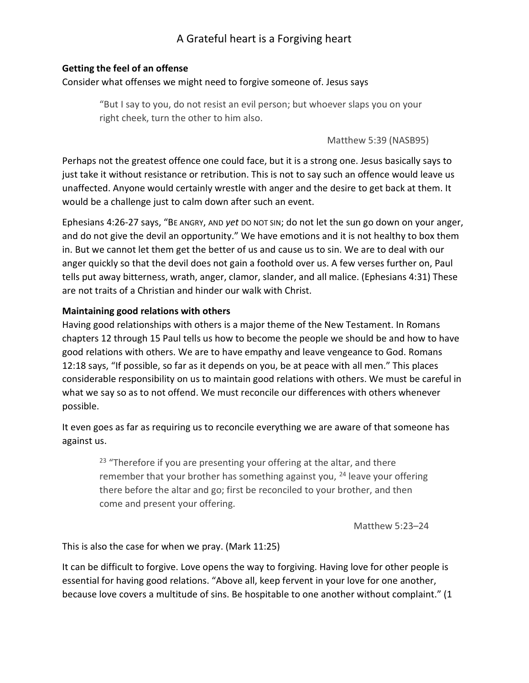# A Grateful heart is a Forgiving heart

#### Getting the feel of an offense

#### Consider what offenses we might need to forgive someone of. Jesus says

"But I say to you, do not resist an evil person; but whoever slaps you on your right cheek, turn the other to him also.

Matthew 5:39 (NASB95)

Perhaps not the greatest offence one could face, but it is a strong one. Jesus basically says to just take it without resistance or retribution. This is not to say such an offence would leave us unaffected. Anyone would certainly wrestle with anger and the desire to get back at them. It would be a challenge just to calm down after such an event.

Ephesians 4:26-27 says, "BE ANGRY, AND yet DO NOT SIN; do not let the sun go down on your anger, and do not give the devil an opportunity." We have emotions and it is not healthy to box them in. But we cannot let them get the better of us and cause us to sin. We are to deal with our anger quickly so that the devil does not gain a foothold over us. A few verses further on, Paul tells put away bitterness, wrath, anger, clamor, slander, and all malice. (Ephesians 4:31) These are not traits of a Christian and hinder our walk with Christ.

#### Maintaining good relations with others

Having good relationships with others is a major theme of the New Testament. In Romans chapters 12 through 15 Paul tells us how to become the people we should be and how to have good relations with others. We are to have empathy and leave vengeance to God. Romans 12:18 says, "If possible, so far as it depends on you, be at peace with all men." This places considerable responsibility on us to maintain good relations with others. We must be careful in what we say so as to not offend. We must reconcile our differences with others whenever possible.

It even goes as far as requiring us to reconcile everything we are aware of that someone has against us.

 $23$  "Therefore if you are presenting your offering at the altar, and there remember that your brother has something against you,  $24$  leave your offering there before the altar and go; first be reconciled to your brother, and then come and present your offering.

Matthew 5:23–24

### This is also the case for when we pray. (Mark 11:25)

It can be difficult to forgive. Love opens the way to forgiving. Having love for other people is essential for having good relations. "Above all, keep fervent in your love for one another, because love covers a multitude of sins. Be hospitable to one another without complaint." (1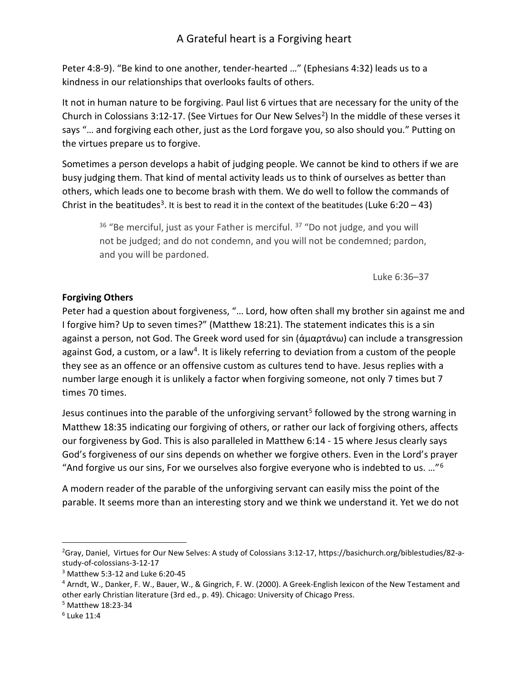## A Grateful heart is a Forgiving heart

Peter 4:8-9). "Be kind to one another, tender-hearted …" (Ephesians 4:32) leads us to a kindness in our relationships that overlooks faults of others.

It not in human nature to be forgiving. Paul list 6 virtues that are necessary for the unity of the Church in Colossians 3:12-17. (See Virtues for Our New Selves<sup>2</sup>) In the middle of these verses it says "… and forgiving each other, just as the Lord forgave you, so also should you." Putting on the virtues prepare us to forgive.

Sometimes a person develops a habit of judging people. We cannot be kind to others if we are busy judging them. That kind of mental activity leads us to think of ourselves as better than others, which leads one to become brash with them. We do well to follow the commands of Christ in the beatitudes<sup>3</sup>. It is best to read it in the context of the beatitudes (Luke 6:20 - 43)

<sup>36</sup> "Be merciful, just as your Father is merciful.<sup>37</sup> "Do not judge, and you will not be judged; and do not condemn, and you will not be condemned; pardon, and you will be pardoned.

Luke 6:36–37

#### Forgiving Others

Peter had a question about forgiveness, "… Lord, how often shall my brother sin against me and I forgive him? Up to seven times?" (Matthew 18:21). The statement indicates this is a sin against a person, not God. The Greek word used for sin (ἁμαρτάνω) can include a transgression against God, a custom, or a law<sup>4</sup>. It is likely referring to deviation from a custom of the people they see as an offence or an offensive custom as cultures tend to have. Jesus replies with a number large enough it is unlikely a factor when forgiving someone, not only 7 times but 7 times 70 times.

Jesus continues into the parable of the unforgiving servant<sup>5</sup> followed by the strong warning in Matthew 18:35 indicating our forgiving of others, or rather our lack of forgiving others, affects our forgiveness by God. This is also paralleled in Matthew 6:14 - 15 where Jesus clearly says God's forgiveness of our sins depends on whether we forgive others. Even in the Lord's prayer "And forgive us our sins, For we ourselves also forgive everyone who is indebted to us.  $...$ "<sup>6</sup>

A modern reader of the parable of the unforgiving servant can easily miss the point of the parable. It seems more than an interesting story and we think we understand it. Yet we do not

<sup>2</sup>Gray, Daniel, Virtues for Our New Selves: A study of Colossians 3:12-17, https://basichurch.org/biblestudies/82-astudy-of-colossians-3-12-17

<sup>3</sup> Matthew 5:3-12 and Luke 6:20-45

<sup>4</sup> Arndt, W., Danker, F. W., Bauer, W., & Gingrich, F. W. (2000). A Greek-English lexicon of the New Testament and other early Christian literature (3rd ed., p. 49). Chicago: University of Chicago Press.

<sup>5</sup> Matthew 18:23-34

<sup>6</sup> Luke 11:4